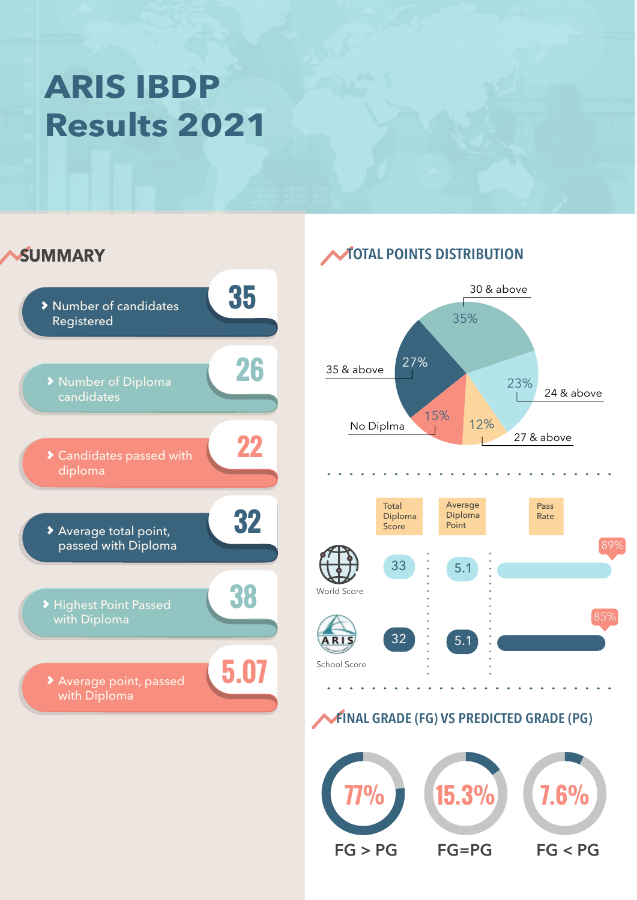### **ARIS IBDP Results 2021**





### **FINAL GRADE (FG) VS PREDICTED GRADE (PG)**

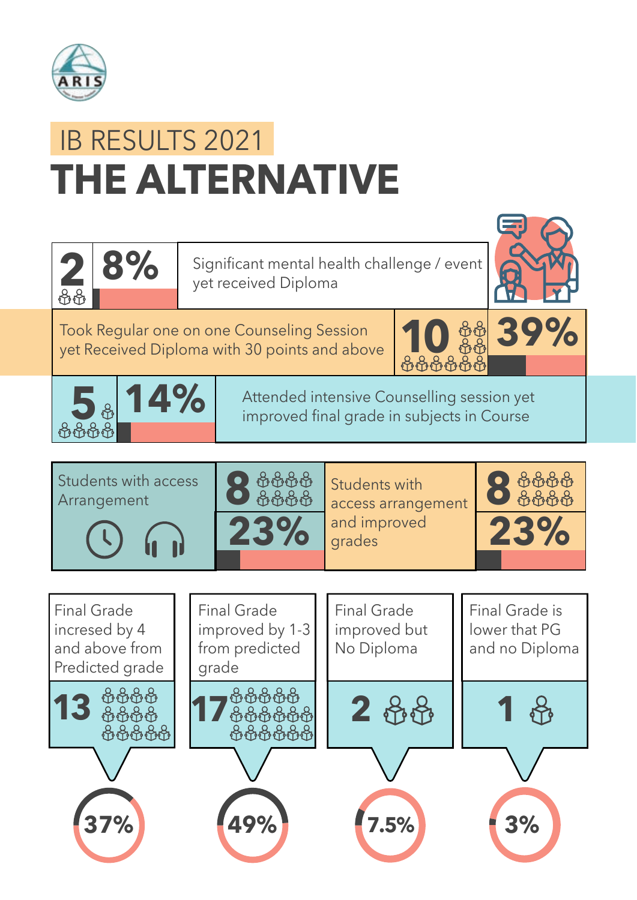

# **THE ALTERNATIVE** IB RESULTS 2021



**8%** Significant mental health challenge / event yet received Diploma



Took Regular one on one Counseling Session yet Received Diploma with 30 points and above





**5** 8 **14%** Attended intensive Counselling session yet **5** 8 improved final grade in subjects in Course



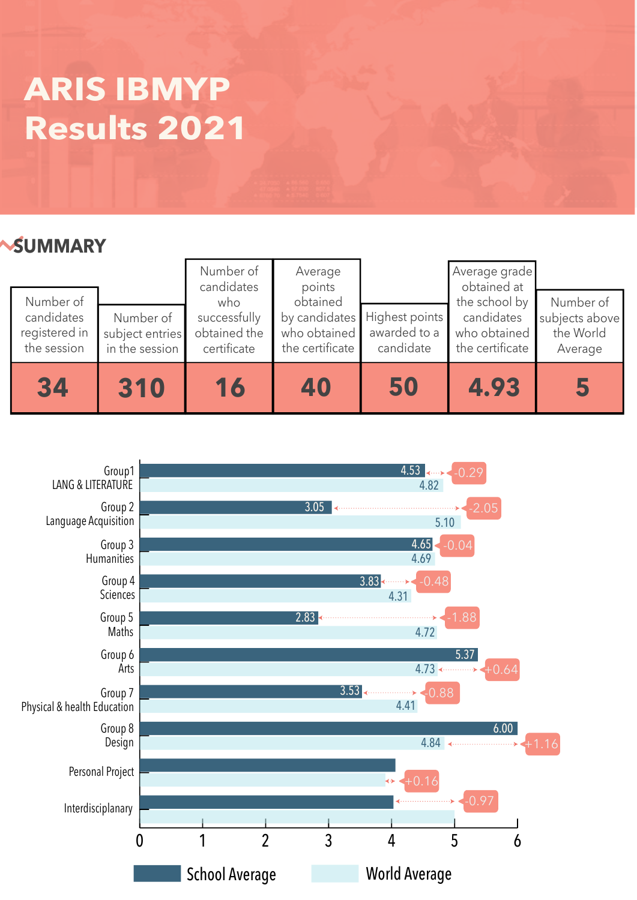### **ARIS IBMYP Results 2021**

### **SUMMARY**

| Number of<br>candidates<br>registered in<br>the session | Number of<br>subject entries<br>in the session | Number of<br>candidates<br>who<br>successfully<br>obtained the<br>certificate | Average<br>points<br>obtained<br>who obtained<br>the certificate | by candidates Highest points<br>awarded to a<br>candidate | Average grade<br>obtained at<br>the school by<br>candidates<br>who obtained<br>the certificate | Number of<br>subjects above<br>the World<br>Average |
|---------------------------------------------------------|------------------------------------------------|-------------------------------------------------------------------------------|------------------------------------------------------------------|-----------------------------------------------------------|------------------------------------------------------------------------------------------------|-----------------------------------------------------|
| 34                                                      | 310                                            | 16                                                                            | 40                                                               | 50                                                        | 4.93                                                                                           | 5                                                   |